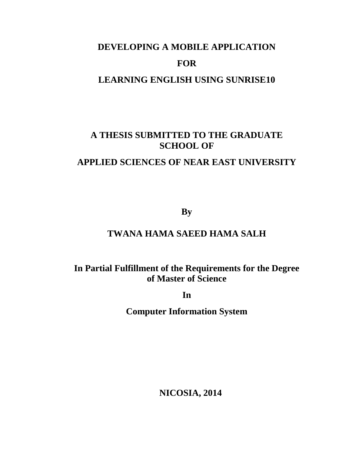# **DEVELOPING A MOBILE APPLICATION FOR LEARNING ENGLISH USING SUNRISE10**

## **A THESIS SUBMITTED TO THE GRADUATE SCHOOL OF**

### **APPLIED SCIENCES OF NEAR EAST UNIVERSITY**

**By**

### **TWANA HAMA SAEED HAMA SALH**

**In Partial Fulfillment of the Requirements for the Degree of Master of Science**

**In**

**Computer Information System**

**NICOSIA, 2014**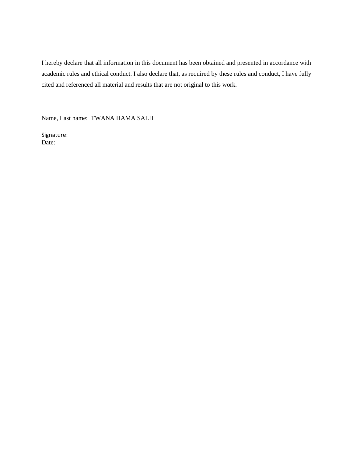I hereby declare that all information in this document has been obtained and presented in accordance with academic rules and ethical conduct. I also declare that, as required by these rules and conduct, I have fully cited and referenced all material and results that are not original to this work.

Name, Last name: TWANA HAMA SALH

Signature: Date: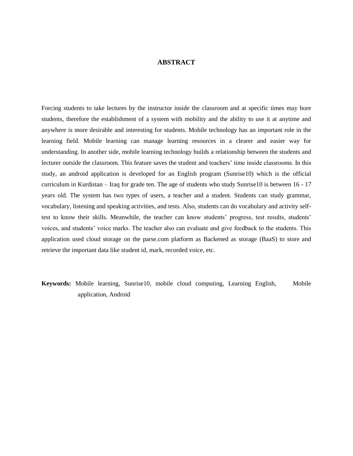#### **ABSTRACT**

Forcing students to take lectures by the instructor inside the classroom and at specific times may bore students, therefore the establishment of a system with mobility and the ability to use it at anytime and anywhere is more desirable and interesting for students. Mobile technology has an important role in the learning field. Mobile learning can manage learning resources in a clearer and easier way for understanding. In another side, mobile learning technology builds a relationship between the students and lecturer outside the classroom. This feature saves the student and teachers' time inside classrooms. In this study, an android application is developed for an English program (Sunrise10) which is the official curriculum in Kurdistan – Iraq for grade ten. The age of students who study Sunrise10 is between 16 - 17 years old. The system has two types of users, a teacher and a student. Students can study grammar, vocabulary, listening and speaking activities, and tests. Also, students can do vocabulary and activity selftest to know their skills. Meanwhile, the teacher can know students' progress, test results, students' voices, and students' voice marks. The teacher also can evaluate and give feedback to the students. This application used cloud storage on the parse.com platform as Backened as storage (BaaS) to store and retrieve the important data like student id, mark, recorded voice, etc.

#### **Keywords:** Mobile learning, Sunrise10, mobile cloud computing, Learning English, Mobile application, Android